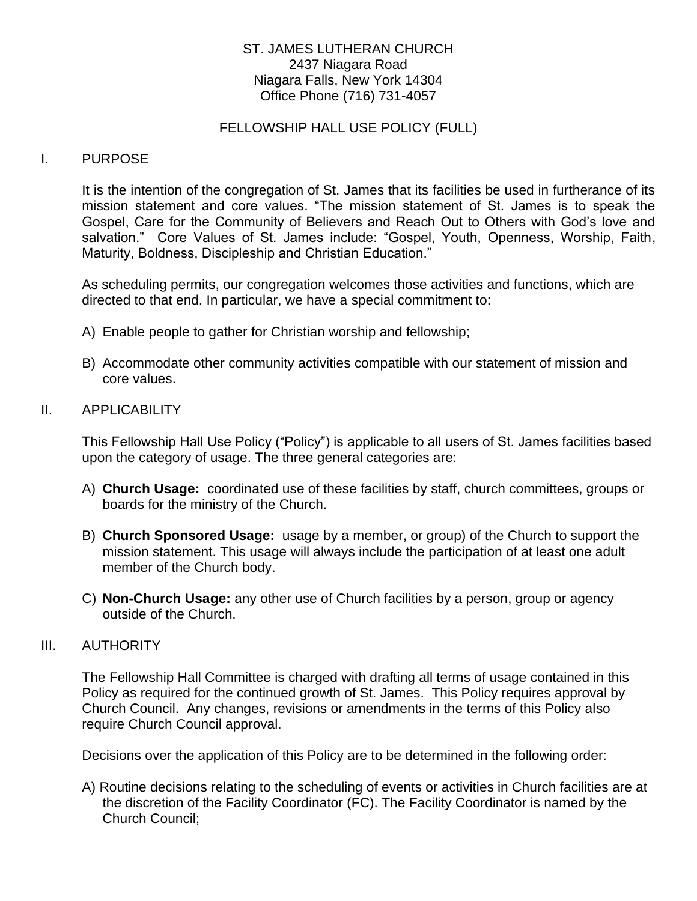## ST. JAMES LUTHERAN CHURCH 2437 Niagara Road Niagara Falls, New York 14304 Office Phone (716) 731-4057

#### FELLOWSHIP HALL USE POLICY (FULL)

#### I. PURPOSE

It is the intention of the congregation of St. James that its facilities be used in furtherance of its mission statement and core values. "The mission statement of St. James is to speak the Gospel, Care for the Community of Believers and Reach Out to Others with God's love and salvation." Core Values of St. James include: "Gospel, Youth, Openness, Worship, Faith, Maturity, Boldness, Discipleship and Christian Education."

As scheduling permits, our congregation welcomes those activities and functions, which are directed to that end. In particular, we have a special commitment to:

- A) Enable people to gather for Christian worship and fellowship;
- B) Accommodate other community activities compatible with our statement of mission and core values.

#### II. APPLICABILITY

This Fellowship Hall Use Policy ("Policy") is applicable to all users of St. James facilities based upon the category of usage. The three general categories are:

- A) **Church Usage:** coordinated use of these facilities by staff, church committees, groups or boards for the ministry of the Church.
- B) **Church Sponsored Usage:** usage by a member, or group) of the Church to support the mission statement. This usage will always include the participation of at least one adult member of the Church body.
- C) **Non-Church Usage:** any other use of Church facilities by a person, group or agency outside of the Church.

#### III. AUTHORITY

The Fellowship Hall Committee is charged with drafting all terms of usage contained in this Policy as required for the continued growth of St. James. This Policy requires approval by Church Council. Any changes, revisions or amendments in the terms of this Policy also require Church Council approval.

Decisions over the application of this Policy are to be determined in the following order:

A) Routine decisions relating to the scheduling of events or activities in Church facilities are at the discretion of the Facility Coordinator (FC). The Facility Coordinator is named by the Church Council;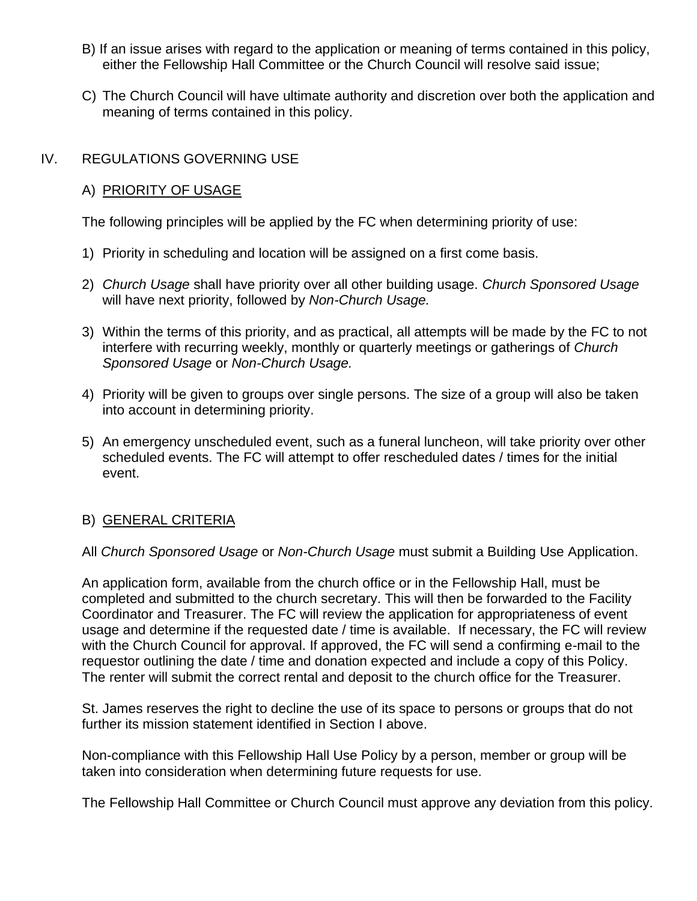- B) If an issue arises with regard to the application or meaning of terms contained in this policy, either the Fellowship Hall Committee or the Church Council will resolve said issue;
- C) The Church Council will have ultimate authority and discretion over both the application and meaning of terms contained in this policy.

# IV. REGULATIONS GOVERNING USE

## A) PRIORITY OF USAGE

The following principles will be applied by the FC when determining priority of use:

- 1) Priority in scheduling and location will be assigned on a first come basis.
- 2) *Church Usage* shall have priority over all other building usage. *Church Sponsored Usage* will have next priority, followed by *Non-Church Usage.*
- 3) Within the terms of this priority, and as practical, all attempts will be made by the FC to not interfere with recurring weekly, monthly or quarterly meetings or gatherings of *Church Sponsored Usage* or *Non-Church Usage.*
- 4) Priority will be given to groups over single persons. The size of a group will also be taken into account in determining priority.
- 5) An emergency unscheduled event, such as a funeral luncheon, will take priority over other scheduled events. The FC will attempt to offer rescheduled dates / times for the initial event.

## B) GENERAL CRITERIA

#### All *Church Sponsored Usage* or *Non-Church Usage* must submit a Building Use Application.

An application form, available from the church office or in the Fellowship Hall, must be completed and submitted to the church secretary. This will then be forwarded to the Facility Coordinator and Treasurer. The FC will review the application for appropriateness of event usage and determine if the requested date / time is available. If necessary, the FC will review with the Church Council for approval. If approved, the FC will send a confirming e-mail to the requestor outlining the date / time and donation expected and include a copy of this Policy. The renter will submit the correct rental and deposit to the church office for the Treasurer.

St. James reserves the right to decline the use of its space to persons or groups that do not further its mission statement identified in Section I above.

Non-compliance with this Fellowship Hall Use Policy by a person, member or group will be taken into consideration when determining future requests for use.

The Fellowship Hall Committee or Church Council must approve any deviation from this policy.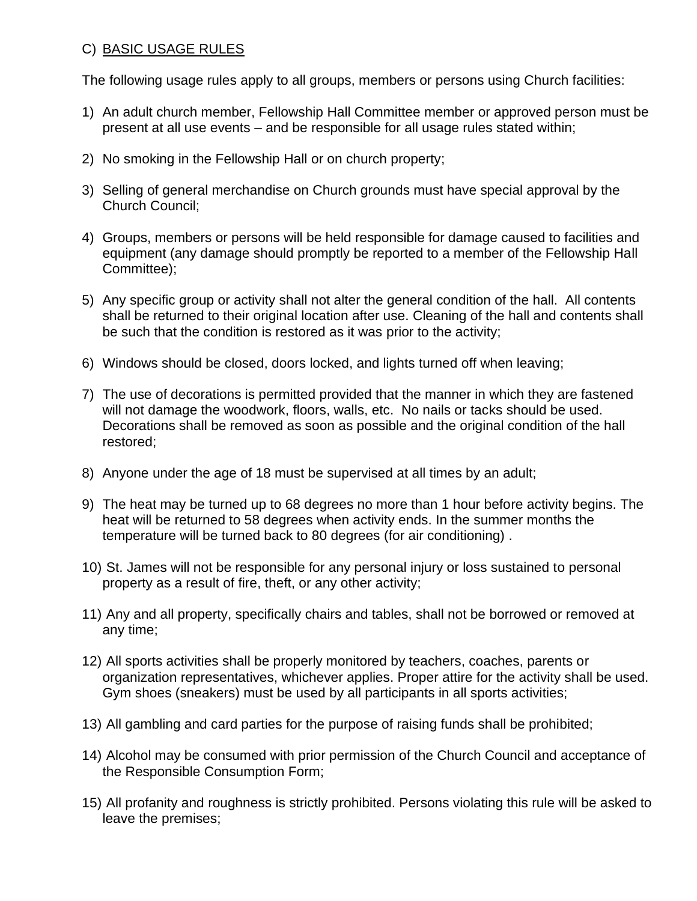# C) BASIC USAGE RULES

The following usage rules apply to all groups, members or persons using Church facilities:

- 1) An adult church member, Fellowship Hall Committee member or approved person must be present at all use events – and be responsible for all usage rules stated within;
- 2) No smoking in the Fellowship Hall or on church property;
- 3) Selling of general merchandise on Church grounds must have special approval by the Church Council;
- 4) Groups, members or persons will be held responsible for damage caused to facilities and equipment (any damage should promptly be reported to a member of the Fellowship Hall Committee);
- 5) Any specific group or activity shall not alter the general condition of the hall. All contents shall be returned to their original location after use. Cleaning of the hall and contents shall be such that the condition is restored as it was prior to the activity;
- 6) Windows should be closed, doors locked, and lights turned off when leaving;
- 7) The use of decorations is permitted provided that the manner in which they are fastened will not damage the woodwork, floors, walls, etc. No nails or tacks should be used. Decorations shall be removed as soon as possible and the original condition of the hall restored;
- 8) Anyone under the age of 18 must be supervised at all times by an adult;
- 9) The heat may be turned up to 68 degrees no more than 1 hour before activity begins. The heat will be returned to 58 degrees when activity ends. In the summer months the temperature will be turned back to 80 degrees (for air conditioning) .
- 10) St. James will not be responsible for any personal injury or loss sustained to personal property as a result of fire, theft, or any other activity;
- 11) Any and all property, specifically chairs and tables, shall not be borrowed or removed at any time;
- 12) All sports activities shall be properly monitored by teachers, coaches, parents or organization representatives, whichever applies. Proper attire for the activity shall be used. Gym shoes (sneakers) must be used by all participants in all sports activities;
- 13) All gambling and card parties for the purpose of raising funds shall be prohibited;
- 14) Alcohol may be consumed with prior permission of the Church Council and acceptance of the Responsible Consumption Form;
- 15) All profanity and roughness is strictly prohibited. Persons violating this rule will be asked to leave the premises;